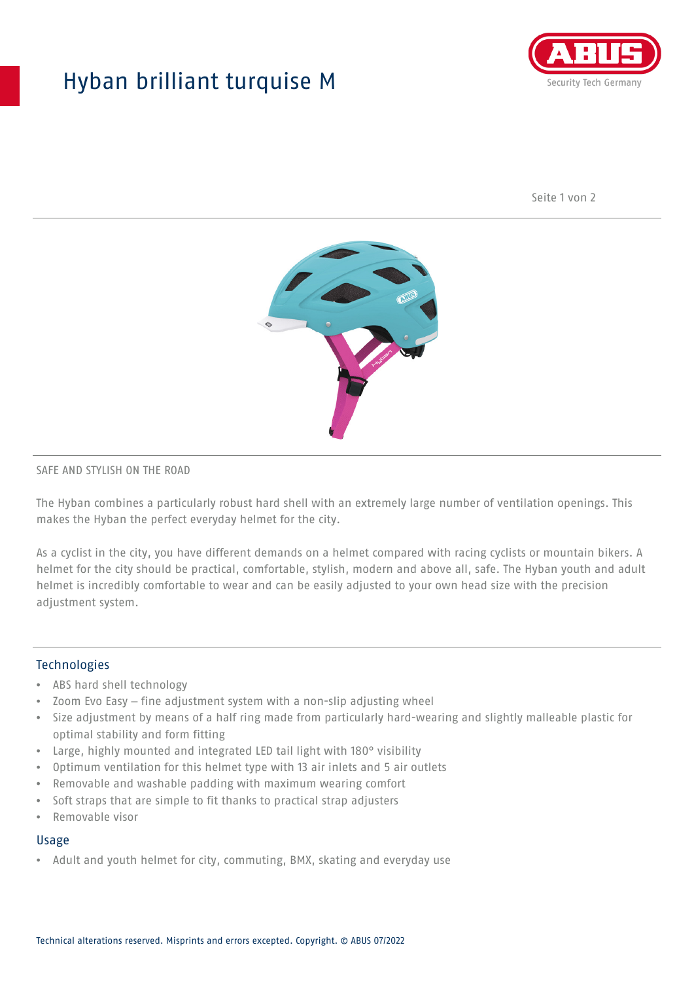## Hyban brilliant turquise M



Seite 1 von 2



#### SAFE AND STYLISH ON THE ROAD

The Hyban combines a particularly robust hard shell with an extremely large number of ventilation openings. This makes the Hyban the perfect everyday helmet for the city.

As a cyclist in the city, you have different demands on a helmet compared with racing cyclists or mountain bikers. A helmet for the city should be practical, comfortable, stylish, modern and above all, safe. The Hyban youth and adult helmet is incredibly comfortable to wear and can be easily adjusted to your own head size with the precision adjustment system.

#### Technologies

- ABS hard shell technology
- Zoom Evo Easy fine adjustment system with a non-slip adjusting wheel
- Size adjustment by means of a half ring made from particularly hard-wearing and slightly malleable plastic for optimal stability and form fitting
- Large, highly mounted and integrated LED tail light with 180° visibility
- Optimum ventilation for this helmet type with 13 air inlets and 5 air outlets
- Removable and washable padding with maximum wearing comfort
- Soft straps that are simple to fit thanks to practical strap adjusters
- Removable visor

#### Usage

• Adult and youth helmet for city, commuting, BMX, skating and everyday use